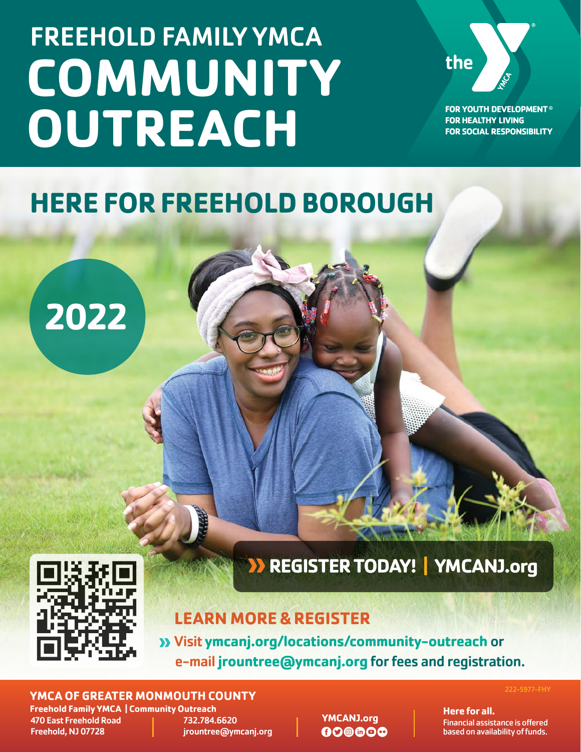# FREEHOLD FAMILY YMCA **COMMUNITY OUTREACH**



**FOR YOUTH DEVELOPMENT<sup>®</sup> FOR HEALTHY LIVING FOR SOCIAL RESPONSIBILITY** 

## **HERE FOR FREEHOLD BOROUGH**





## **REGISTER TODAY! | [YMCANJ.org](https://ymcanj.org)**

## **LEARN MORE & REGISTER**

Visit **[ymcanj.org/locations/community-outreach](https://ymcanj.org/locations/community-outreach/)** or e-mail **[jrountree@ymcanj.org](mailto:jrountree%40ymcanj.org?subject=)** for fees and registration.

#### **YMCA OF GREATER MONMOUTH COUNTY**

**Freehold Family YMCA | Community Outreach** 470 East Freehold Road 732.784.6620

Freehold, NJ 07728 irountree@ymcanj.org

**[YMCANJ.org](https://ymcanj.org)** 000000 222-5977-FHY

**Here for all.** Financial assistance is offered based on availability of funds.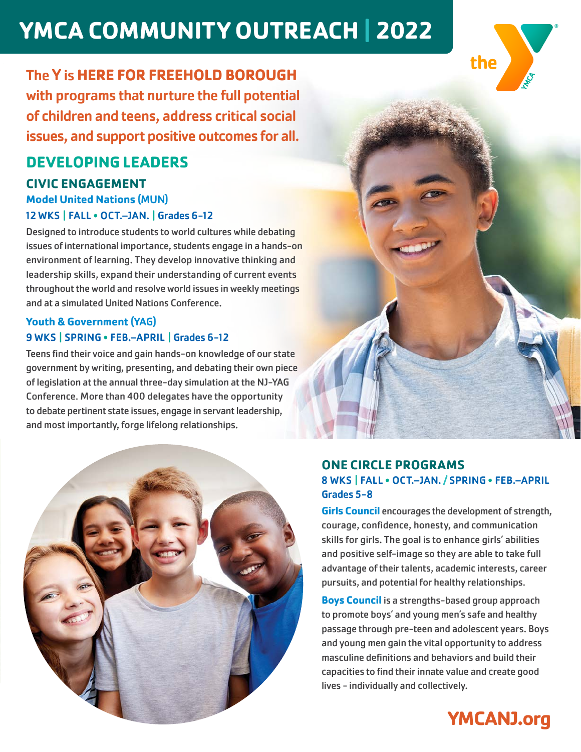## **YMCA COMMUNITY OUTREACH | 2022**



The Y is **HERE FOR FREEHOLD BOROUGH**  with programs that nurture the full potential of children and teens, address critical social issues, and support positive outcomes for all.

## **DEVELOPING LEADERS CIVIC ENGAGEMENT**

#### **Model United Nations** (MUN) 12 WKS | FALL • OCT.–JAN. | Grades 6-12

Designed to introduce students to world cultures while debating issues of international importance, students engage in a hands-on environment of learning. They develop innovative thinking and leadership skills, expand their understanding of current events throughout the world and resolve world issues in weekly meetings and at a simulated United Nations Conference.

#### **Youth & Government** (YAG) 9 WKS | SPRING • FEB.–APRIL | Grades 6-12

Teens find their voice and gain hands-on knowledge of our state government by writing, presenting, and debating their own piece of legislation at the annual three-day simulation at the NJ-YAG Conference. More than 400 delegates have the opportunity to debate pertinent state issues, engage in servant leadership, and most importantly, forge lifelong relationships.



### **ONE CIRCLE PROGRAMS** 8 WKS | FALL • OCT.–JAN. **/** SPRING • FEB.–APRIL Grades 5-8

**Girls Council** encourages the development of strength, courage, confidence, honesty, and communication skills for girls. The goal is to enhance girls' abilities and positive self-image so they are able to take full advantage of their talents, academic interests, career pursuits, and potential for healthy relationships.

**Boys Council** is a strengths-based group approach to promote boys' and young men's safe and healthy passage through pre-teen and adolescent years. Boys and young men gain the vital opportunity to address masculine definitions and behaviors and build their capacities to find their innate value and create good lives - individually and collectively.

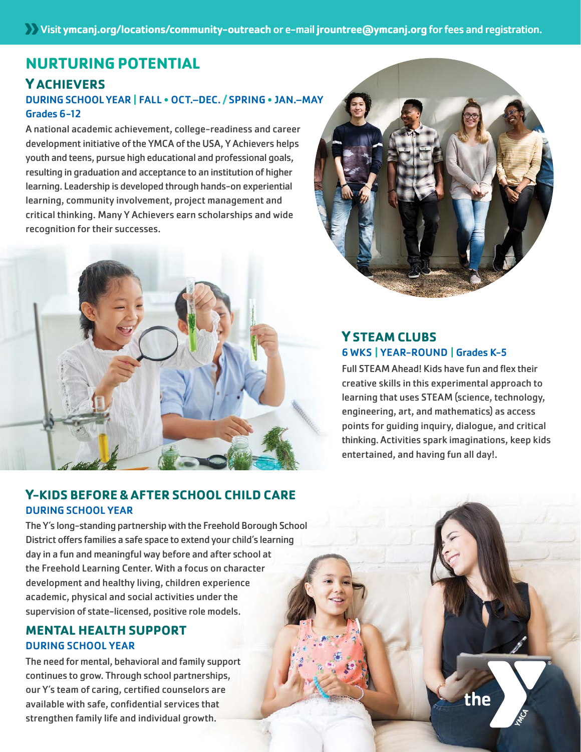## **NURTURING POTENTIAL**

#### **Y ACHIEVERS** DURING SCHOOL YEAR | FALL • OCT.–DEC. **/** SPRING • JAN.–MAY Grades 6-12

A national academic achievement, college-readiness and career development initiative of the YMCA of the USA, Y Achievers helps youth and teens, pursue high educational and professional goals, resulting in graduation and acceptance to an institution of higher learning. Leadership is developed through hands-on experiential learning, community involvement, project management and critical thinking. Many Y Achievers earn scholarships and wide recognition for their successes.



#### **Y STEAM CLUBS** 6 WKS | YEAR-ROUND | Grades K-5

Full STEAM Ahead! Kids have fun and flex their creative skills in this experimental approach to learning that uses STEAM (science, technology, engineering, art, and mathematics) as access points for guiding inquiry, dialogue, and critical thinking. Activities spark imaginations, keep kids entertained, and having fun all day!.

the

### **Y-KIDS BEFORE & AFTER SCHOOL CHILD CARE** DURING SCHOOL YEAR

The Y's long-standing partnership with the Freehold Borough School District offers families a safe space to extend your child's learning day in a fun and meaningful way before and after school at the Freehold Learning Center. With a focus on character development and healthy living, children experience academic, physical and social activities under the supervision of state-licensed, positive role models.

#### **MENTAL HEALTH SUPPORT** DURING SCHOOL YEAR

The need for mental, behavioral and family support continues to grow. Through school partnerships, our Y's team of caring, certified counselors are available with safe, confidential services that strengthen family life and individual growth.